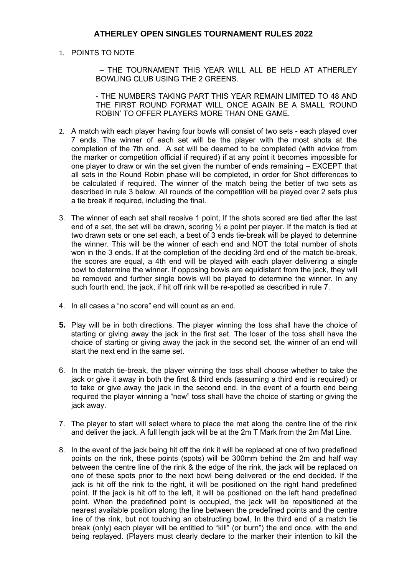## **ATHERLEY OPEN SINGLES TOURNAMENT RULES 2022**

## 1. POINTS TO NOTE

 – THE TOURNAMENT THIS YEAR WILL ALL BE HELD AT ATHERLEY BOWLING CLUB USING THE 2 GREENS.

- THE NUMBERS TAKING PART THIS YEAR REMAIN LIMITED TO 48 AND THE FIRST ROUND FORMAT WILL ONCE AGAIN BE A SMALL 'ROUND ROBIN' TO OFFER PLAYERS MORE THAN ONE GAME.

- 2. A match with each player having four bowls will consist of two sets each played over 7 ends. The winner of each set will be the player with the most shots at the completion of the 7th end. A set will be deemed to be completed (with advice from the marker or competition official if required) if at any point it becomes impossible for one player to draw or win the set given the number of ends remaining – EXCEPT that all sets in the Round Robin phase will be completed, in order for Shot differences to be calculated if required. The winner of the match being the better of two sets as described in rule 3 below. All rounds of the competition will be played over 2 sets plus a tie break if required, including the final.
- 3. The winner of each set shall receive 1 point, If the shots scored are tied after the last end of a set, the set will be drawn, scoring  $\frac{1}{2}$  a point per player. If the match is tied at two drawn sets or one set each, a best of 3 ends tie-break will be played to determine the winner. This will be the winner of each end and NOT the total number of shots won in the 3 ends. If at the completion of the deciding 3rd end of the match tie-break, the scores are equal, a 4th end will be played with each player delivering a single bowl to determine the winner. If opposing bowls are equidistant from the jack, they will be removed and further single bowls will be played to determine the winner. In any such fourth end, the jack, if hit off rink will be re-spotted as described in rule 7.
- 4. In all cases a "no score" end will count as an end.
- **5.** Play will be in both directions. The player winning the toss shall have the choice of starting or giving away the jack in the first set. The loser of the toss shall have the choice of starting or giving away the jack in the second set, the winner of an end will start the next end in the same set.
- 6. In the match tie-break, the player winning the toss shall choose whether to take the jack or give it away in both the first & third ends (assuming a third end is required) or to take or give away the jack in the second end. In the event of a fourth end being required the player winning a "new" toss shall have the choice of starting or giving the jack away.
- 7. The player to start will select where to place the mat along the centre line of the rink and deliver the jack. A full length jack will be at the 2m T Mark from the 2m Mat Line.
- 8. In the event of the jack being hit off the rink it will be replaced at one of two predefined points on the rink, these points (spots) will be 300mm behind the 2m and half way between the centre line of the rink & the edge of the rink, the jack will be replaced on one of these spots prior to the next bowl being delivered or the end decided. If the jack is hit off the rink to the right, it will be positioned on the right hand predefined point. If the jack is hit off to the left, it will be positioned on the left hand predefined point. When the predefined point is occupied, the jack will be repositioned at the nearest available position along the line between the predefined points and the centre line of the rink, but not touching an obstructing bowl. In the third end of a match tie break (only) each player will be entitled to "kill" (or burn") the end once, with the end being replayed. (Players must clearly declare to the marker their intention to kill the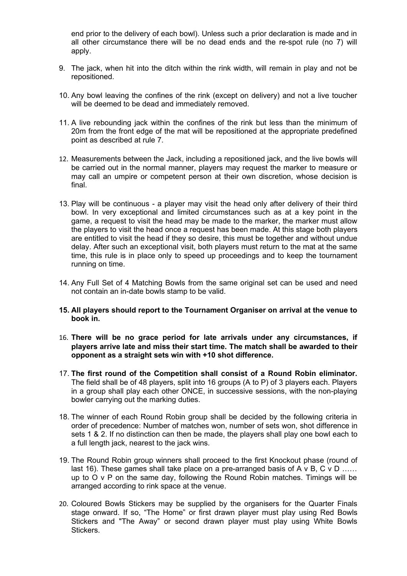end prior to the delivery of each bowl). Unless such a prior declaration is made and in all other circumstance there will be no dead ends and the re-spot rule (no 7) will apply.

- 9. The jack, when hit into the ditch within the rink width, will remain in play and not be repositioned.
- 10. Any bowl leaving the confines of the rink (except on delivery) and not a live toucher will be deemed to be dead and immediately removed.
- 11. A live rebounding jack within the confines of the rink but less than the minimum of 20m from the front edge of the mat will be repositioned at the appropriate predefined point as described at rule 7.
- 12. Measurements between the Jack, including a repositioned jack, and the live bowls will be carried out in the normal manner, players may request the marker to measure or may call an umpire or competent person at their own discretion, whose decision is final.
- 13. Play will be continuous a player may visit the head only after delivery of their third bowl. In very exceptional and limited circumstances such as at a key point in the game, a request to visit the head may be made to the marker, the marker must allow the players to visit the head once a request has been made. At this stage both players are entitled to visit the head if they so desire, this must be together and without undue delay. After such an exceptional visit, both players must return to the mat at the same time, this rule is in place only to speed up proceedings and to keep the tournament running on time.
- 14. Any Full Set of 4 Matching Bowls from the same original set can be used and need not contain an in-date bowls stamp to be valid.
- **15. All players should report to the Tournament Organiser on arrival at the venue to book in.**
- 16. **There will be no grace period for late arrivals under any circumstances, if players arrive late and miss their start time. The match shall be awarded to their opponent as a straight sets win with +10 shot difference.**
- 17. **The first round of the Competition shall consist of a Round Robin eliminator.** The field shall be of 48 players, split into 16 groups (A to P) of 3 players each. Players in a group shall play each other ONCE, in successive sessions, with the non-playing bowler carrying out the marking duties.
- 18. The winner of each Round Robin group shall be decided by the following criteria in order of precedence: Number of matches won, number of sets won, shot difference in sets 1 & 2. If no distinction can then be made, the players shall play one bowl each to a full length jack, nearest to the jack wins.
- 19. The Round Robin group winners shall proceed to the first Knockout phase (round of last 16). These games shall take place on a pre-arranged basis of A v B, C v D ...... up to O v P on the same day, following the Round Robin matches. Timings will be arranged according to rink space at the venue.
- 20. Coloured Bowls Stickers may be supplied by the organisers for the Quarter Finals stage onward. If so, "The Home" or first drawn player must play using Red Bowls Stickers and "The Away" or second drawn player must play using White Bowls Stickers.